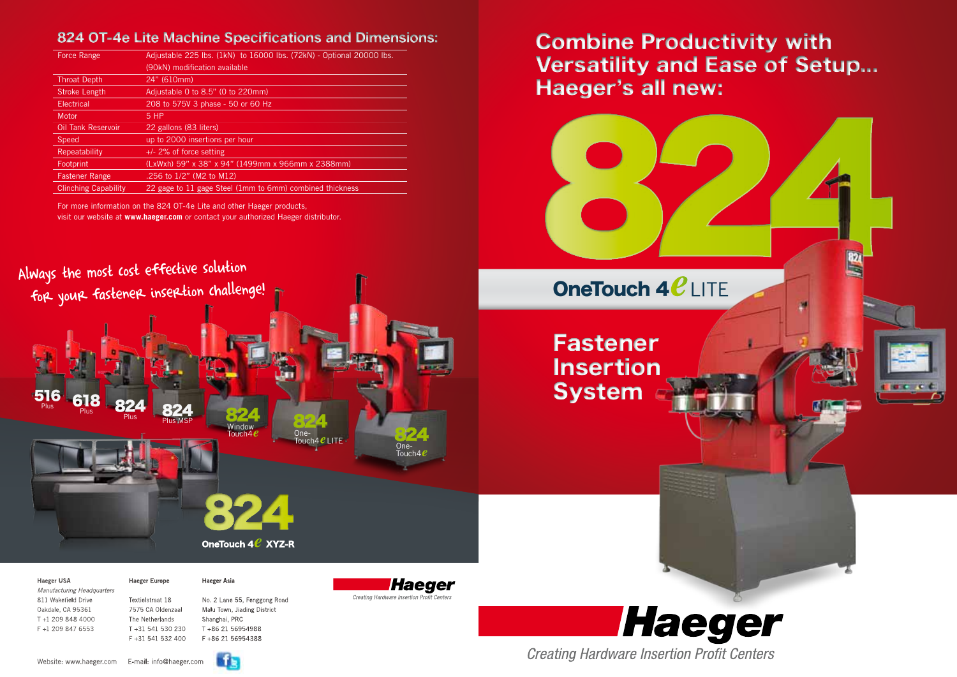*Manufacturing Headquarters* 811 Wakefield Drive Textielstraat 18 No. 2 Lane 55, Fenggong Road Oakdale, CA 95361 7575 CA Oldenzaal Malu Town, Jiading District T +1 209 848 4000 The Netherlands Shanghai, PRC F +1 209 847 6553 T +31 541 530 230 T +86 21 56954988

Haeger USA **Haeger Europe** Haeger Asia

F +31 541 532 400 F +86 21 56954388



**Haeger Creating Hardware Insertion Profit Centers** 

**Creating Hardware Insertion Profit Centers** 

| Force Range                 | Adjustable 225 lbs. (1kN) to 16000 lbs. (72kN) - Optional 20000 lbs. |
|-----------------------------|----------------------------------------------------------------------|
|                             | (90kN) modification available                                        |
| <b>Throat Depth</b>         | 24" (610mm)                                                          |
| <b>Stroke Length</b>        | Adjustable 0 to 8.5" (0 to 220mm)                                    |
| Electrical                  | 208 to 575V 3 phase - 50 or 60 Hz                                    |
| Motor                       | 5 HP                                                                 |
| <b>Oil Tank Reservoir</b>   | 22 gallons (83 liters)                                               |
| <b>Speed</b>                | up to 2000 insertions per hour                                       |
| Repeatability               | $+/-$ 2% of force setting                                            |
| Footprint                   | (LxWxh) 59" x 38" x 94" (1499mm x 966mm x 2388mm)                    |
| <b>Fastener Range</b>       | .256 to 1/2" (M2 to M12)                                             |
| <b>Clinching Capability</b> | 22 gage to 11 gage Steel (1mm to 6mm) combined thickness             |



For more information on the 824 OT-4e Lite and other Haeger products, visit our website at **www.haeger.com** or contact your authorized Haeger distributor.

## 824 OT-4e Lite Machine Specifications and Dimensions:

Website: www.haeger.com E-mail: info@haeger.com





# Combine Productivity with Versatility and Ease of Setup... Haeger's all new: